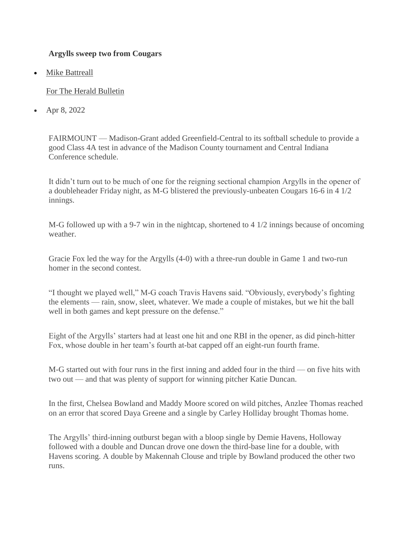## **Argylls sweep two from Cougars**

**[Mike Battreall](https://www.heraldbulletin.com/users/profile/Mike%20Battreall)** 

[For The Herald Bulletin](https://www.heraldbulletin.com/users/profile/Mike%20Battreall)

• Apr 8, 2022

FAIRMOUNT — Madison-Grant added Greenfield-Central to its softball schedule to provide a good Class 4A test in advance of the Madison County tournament and Central Indiana Conference schedule.

It didn't turn out to be much of one for the reigning sectional champion Argylls in the opener of a doubleheader Friday night, as M-G blistered the previously-unbeaten Cougars 16-6 in 4 1/2 innings.

M-G followed up with a 9-7 win in the nightcap, shortened to 4 1/2 innings because of oncoming weather.

Gracie Fox led the way for the Argylls (4-0) with a three-run double in Game 1 and two-run homer in the second contest.

"I thought we played well," M-G coach Travis Havens said. "Obviously, everybody's fighting the elements — rain, snow, sleet, whatever. We made a couple of mistakes, but we hit the ball well in both games and kept pressure on the defense."

Eight of the Argylls' starters had at least one hit and one RBI in the opener, as did pinch-hitter Fox, whose double in her team's fourth at-bat capped off an eight-run fourth frame.

M-G started out with four runs in the first inning and added four in the third — on five hits with two out — and that was plenty of support for winning pitcher Katie Duncan.

In the first, Chelsea Bowland and Maddy Moore scored on wild pitches, Anzlee Thomas reached on an error that scored Daya Greene and a single by Carley Holliday brought Thomas home.

The Argylls' third-inning outburst began with a bloop single by Demie Havens, Holloway followed with a double and Duncan drove one down the third-base line for a double, with Havens scoring. A double by Makennah Clouse and triple by Bowland produced the other two runs.